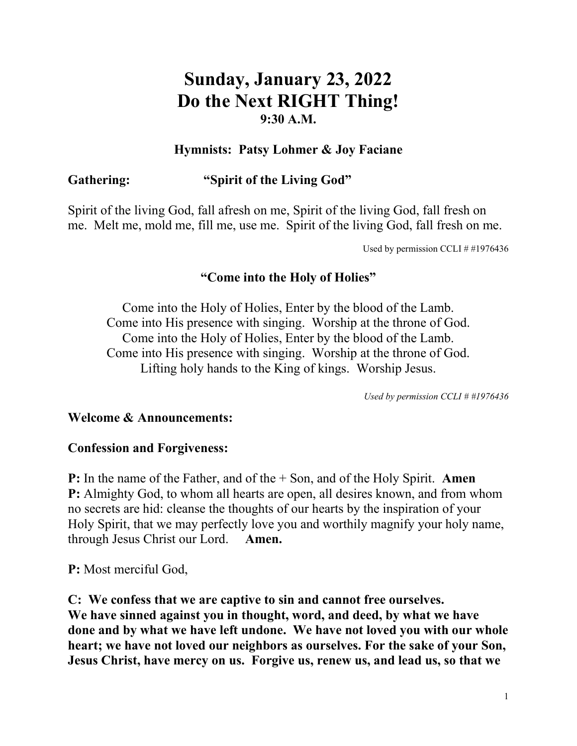# **Sunday, January 23, 2022 Do the Next RIGHT Thing! 9:30 A.M.**

# **Hymnists: Patsy Lohmer & Joy Faciane**

# **Gathering: "Spirit of the Living God"**

Spirit of the living God, fall afresh on me, Spirit of the living God, fall fresh on me. Melt me, mold me, fill me, use me. Spirit of the living God, fall fresh on me.

Used by permission CCLI # #1976436

## **"Come into the Holy of Holies"**

Come into the Holy of Holies, Enter by the blood of the Lamb. Come into His presence with singing. Worship at the throne of God. Come into the Holy of Holies, Enter by the blood of the Lamb. Come into His presence with singing. Worship at the throne of God. Lifting holy hands to the King of kings. Worship Jesus.

*Used by permission CCLI # #1976436*

#### **Welcome & Announcements:**

### **Confession and Forgiveness:**

**P:** In the name of the Father, and of the + Son, and of the Holy Spirit. **Amen P:** Almighty God, to whom all hearts are open, all desires known, and from whom no secrets are hid: cleanse the thoughts of our hearts by the inspiration of your Holy Spirit, that we may perfectly love you and worthily magnify your holy name, through Jesus Christ our Lord. **Amen.**

**P:** Most merciful God,

**C: We confess that we are captive to sin and cannot free ourselves. We have sinned against you in thought, word, and deed, by what we have done and by what we have left undone. We have not loved you with our whole heart; we have not loved our neighbors as ourselves. For the sake of your Son, Jesus Christ, have mercy on us. Forgive us, renew us, and lead us, so that we**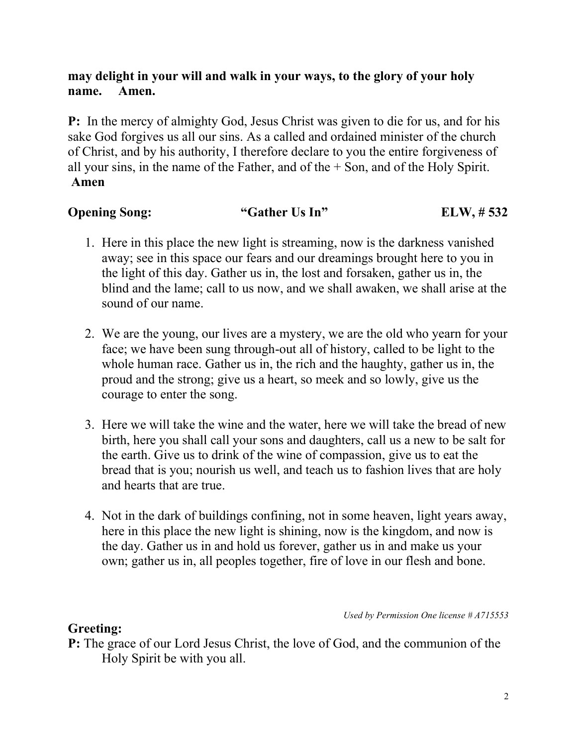# **may delight in your will and walk in your ways, to the glory of your holy name. Amen.**

**P:** In the mercy of almighty God, Jesus Christ was given to die for us, and for his sake God forgives us all our sins. As a called and ordained minister of the church of Christ, and by his authority, I therefore declare to you the entire forgiveness of all your sins, in the name of the Father, and of the  $+$  Son, and of the Holy Spirit. **Amen**

# **Opening Song: "Gather Us In" ELW, # 532**

- 1. Here in this place the new light is streaming, now is the darkness vanished away; see in this space our fears and our dreamings brought here to you in the light of this day. Gather us in, the lost and forsaken, gather us in, the blind and the lame; call to us now, and we shall awaken, we shall arise at the sound of our name.
- 2. We are the young, our lives are a mystery, we are the old who yearn for your face; we have been sung through-out all of history, called to be light to the whole human race. Gather us in, the rich and the haughty, gather us in, the proud and the strong; give us a heart, so meek and so lowly, give us the courage to enter the song.
- 3. Here we will take the wine and the water, here we will take the bread of new birth, here you shall call your sons and daughters, call us a new to be salt for the earth. Give us to drink of the wine of compassion, give us to eat the bread that is you; nourish us well, and teach us to fashion lives that are holy and hearts that are true.
- 4. Not in the dark of buildings confining, not in some heaven, light years away, here in this place the new light is shining, now is the kingdom, and now is the day. Gather us in and hold us forever, gather us in and make us your own; gather us in, all peoples together, fire of love in our flesh and bone.

*Used by Permission One license # A715553*

### **Greeting:**

**P:** The grace of our Lord Jesus Christ, the love of God, and the communion of the Holy Spirit be with you all.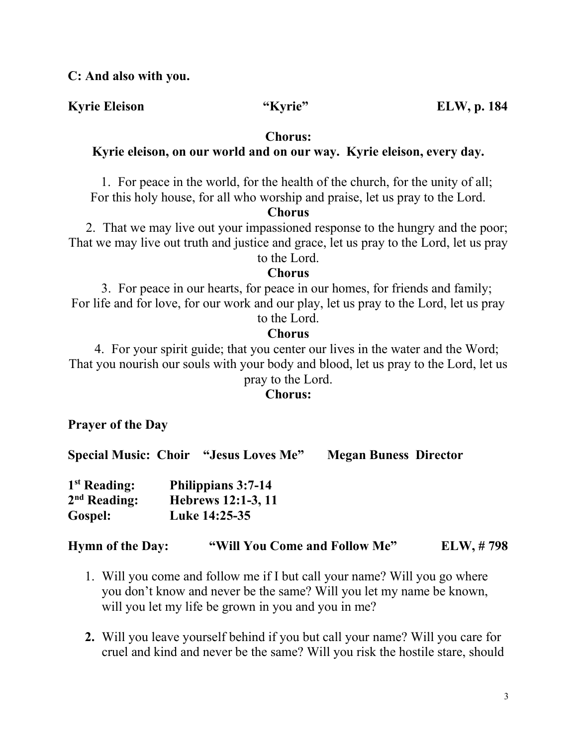**C: And also with you.** 

#### **Kyrie Eleison** "Kyrie" ELW, p. 184

#### **Chorus:**

# **Kyrie eleison, on our world and on our way. Kyrie eleison, every day.**

1. For peace in the world, for the health of the church, for the unity of all; For this holy house, for all who worship and praise, let us pray to the Lord.

#### **Chorus**

2. That we may live out your impassioned response to the hungry and the poor; That we may live out truth and justice and grace, let us pray to the Lord, let us pray to the Lord.

#### **Chorus**

3. For peace in our hearts, for peace in our homes, for friends and family; For life and for love, for our work and our play, let us pray to the Lord, let us pray to the Lord.

### **Chorus**

4. For your spirit guide; that you center our lives in the water and the Word; That you nourish our souls with your body and blood, let us pray to the Lord, let us pray to the Lord.

#### **Chorus:**

**Prayer of the Day**

**Special Music: Choir "Jesus Loves Me" Megan Buness Director**

| 1 <sup>st</sup> Reading: | <b>Philippians 3:7-14</b> |
|--------------------------|---------------------------|
| $2nd$ Reading:           | Hebrews 12:1-3, 11        |
| <b>Gospel:</b>           | Luke 14:25-35             |

### **Hymn of the Day: "Will You Come and Follow Me" ELW, # 798**

- 1. Will you come and follow me if I but call your name? Will you go where you don't know and never be the same? Will you let my name be known, will you let my life be grown in you and you in me?
- **2.** Will you leave yourself behind if you but call your name? Will you care for cruel and kind and never be the same? Will you risk the hostile stare, should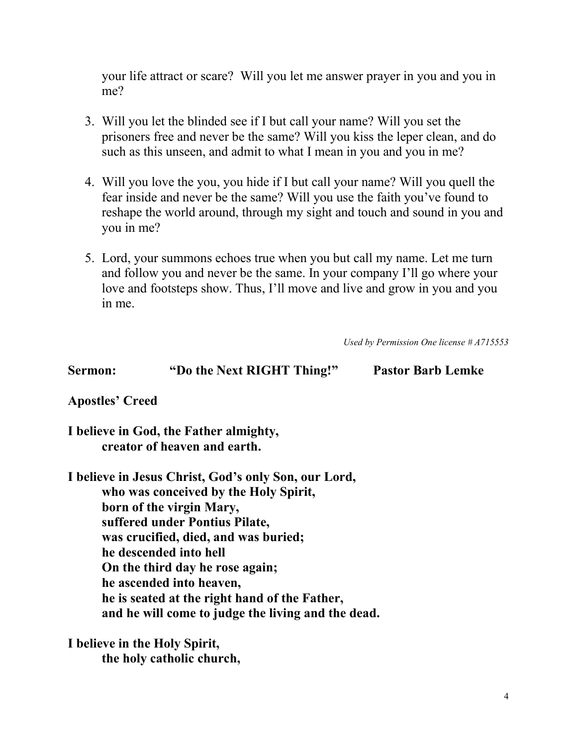your life attract or scare? Will you let me answer prayer in you and you in me?

- 3. Will you let the blinded see if I but call your name? Will you set the prisoners free and never be the same? Will you kiss the leper clean, and do such as this unseen, and admit to what I mean in you and you in me?
- 4. Will you love the you, you hide if I but call your name? Will you quell the fear inside and never be the same? Will you use the faith you've found to reshape the world around, through my sight and touch and sound in you and you in me?
- 5. Lord, your summons echoes true when you but call my name. Let me turn and follow you and never be the same. In your company I'll go where your love and footsteps show. Thus, I'll move and live and grow in you and you in me.

*Used by Permission One license # A715553*

| Sermon:                | "Do the Next RIGHT Thing!"                                                                                                                                                                                                                                                                                                                                                                          | <b>Pastor Barb Lemke</b> |
|------------------------|-----------------------------------------------------------------------------------------------------------------------------------------------------------------------------------------------------------------------------------------------------------------------------------------------------------------------------------------------------------------------------------------------------|--------------------------|
| <b>Apostles' Creed</b> |                                                                                                                                                                                                                                                                                                                                                                                                     |                          |
|                        | I believe in God, the Father almighty,<br>creator of heaven and earth.                                                                                                                                                                                                                                                                                                                              |                          |
|                        | I believe in Jesus Christ, God's only Son, our Lord,<br>who was conceived by the Holy Spirit,<br>born of the virgin Mary,<br>suffered under Pontius Pilate,<br>was crucified, died, and was buried;<br>he descended into hell<br>On the third day he rose again;<br>he ascended into heaven,<br>he is seated at the right hand of the Father,<br>and he will come to judge the living and the dead. |                          |
|                        | I believe in the Holy Spirit,<br>the holy catholic church,                                                                                                                                                                                                                                                                                                                                          |                          |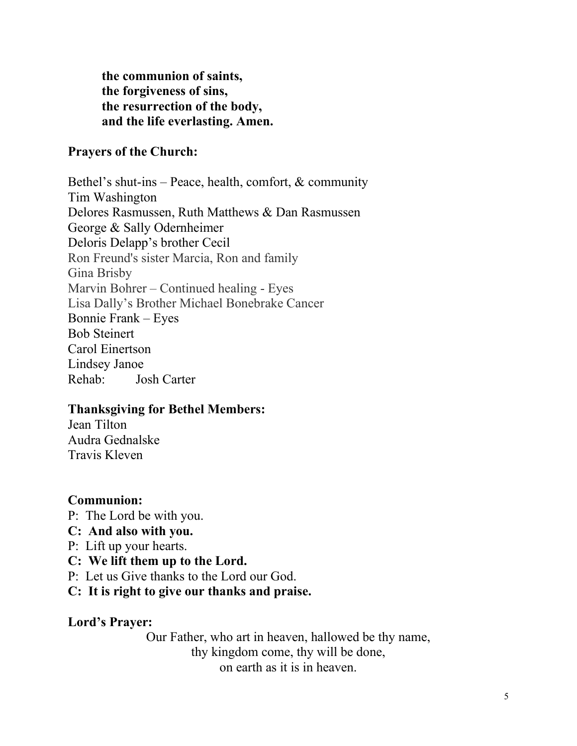**the communion of saints, the forgiveness of sins, the resurrection of the body, and the life everlasting. Amen.**

#### **Prayers of the Church:**

Bethel's shut-ins – Peace, health, comfort, & community Tim Washington Delores Rasmussen, Ruth Matthews & Dan Rasmussen George & Sally Odernheimer Deloris Delapp's brother Cecil Ron Freund's sister Marcia, Ron and family Gina Brisby Marvin Bohrer – Continued healing - Eyes Lisa Dally's Brother Michael Bonebrake Cancer Bonnie Frank – Eyes Bob Steinert Carol Einertson Lindsey Janoe Rehab: Josh Carter

#### **Thanksgiving for Bethel Members:**

Jean Tilton Audra Gednalske Travis Kleven

#### **Communion:**

P: The Lord be with you.

- **C: And also with you.**
- P: Lift up your hearts.
- **C: We lift them up to the Lord.**
- P: Let us Give thanks to the Lord our God.
- **C: It is right to give our thanks and praise.**

**Lord's Prayer:**

Our Father, who art in heaven, hallowed be thy name, thy kingdom come, thy will be done, on earth as it is in heaven.